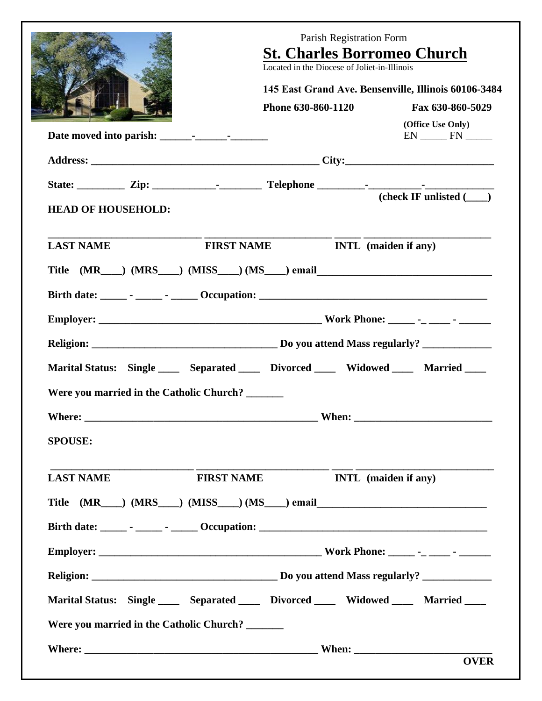|                                                 | Parish Registration Form<br><b>St. Charles Borromeo Church</b><br>Located in the Diocese of Joliet-in-Illinois<br>145 East Grand Ave. Bensenville, Illinois 60106-3484 |                                     |  |  |  |  |
|-------------------------------------------------|------------------------------------------------------------------------------------------------------------------------------------------------------------------------|-------------------------------------|--|--|--|--|
|                                                 |                                                                                                                                                                        |                                     |  |  |  |  |
|                                                 | Phone 630-860-1120                                                                                                                                                     | Fax 630-860-5029                    |  |  |  |  |
|                                                 |                                                                                                                                                                        | (Office Use Only)<br>$EN$ $IN$ $IN$ |  |  |  |  |
|                                                 |                                                                                                                                                                        |                                     |  |  |  |  |
|                                                 |                                                                                                                                                                        |                                     |  |  |  |  |
| <b>HEAD OF HOUSEHOLD:</b>                       |                                                                                                                                                                        |                                     |  |  |  |  |
| <b>LAST NAME</b>                                | FIRST NAME <b>INTL</b> (maiden if any)                                                                                                                                 |                                     |  |  |  |  |
|                                                 | Title (MR___) (MRS___) (MISS___) (MS___) email___________________________________                                                                                      |                                     |  |  |  |  |
|                                                 |                                                                                                                                                                        |                                     |  |  |  |  |
|                                                 |                                                                                                                                                                        |                                     |  |  |  |  |
|                                                 |                                                                                                                                                                        |                                     |  |  |  |  |
|                                                 | Marital Status: Single ______ Separated ______ Divorced ______ Widowed _____ Married ____                                                                              |                                     |  |  |  |  |
| Were you married in the Catholic Church? ______ |                                                                                                                                                                        |                                     |  |  |  |  |
|                                                 |                                                                                                                                                                        |                                     |  |  |  |  |
| <b>SPOUSE:</b>                                  |                                                                                                                                                                        |                                     |  |  |  |  |
| <b>LAST NAME</b>                                | <b>FIRST NAME</b>                                                                                                                                                      | <b>INTL</b> (maiden if any)         |  |  |  |  |
|                                                 | Title (MR___) (MRS___) (MISS___) (MS___) email___________________________________                                                                                      |                                     |  |  |  |  |
|                                                 |                                                                                                                                                                        |                                     |  |  |  |  |
|                                                 |                                                                                                                                                                        |                                     |  |  |  |  |
|                                                 |                                                                                                                                                                        |                                     |  |  |  |  |
|                                                 | Marital Status: Single _____ Separated _____ Divorced _____ Widowed _____ Married ____                                                                                 |                                     |  |  |  |  |
| Were you married in the Catholic Church? ______ |                                                                                                                                                                        |                                     |  |  |  |  |
|                                                 |                                                                                                                                                                        |                                     |  |  |  |  |
|                                                 |                                                                                                                                                                        | <b>OVER</b>                         |  |  |  |  |